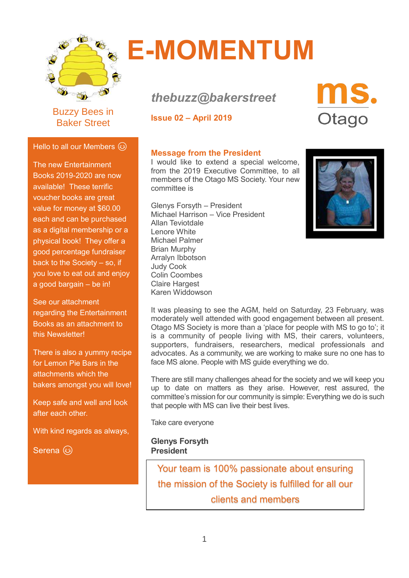

Buzzy Bees in Baker Street

Hello to all our Members  $\circledS$ 

The new Entertainment Books 2019-2020 are now available! These terrific voucher books are great value for money at \$60.00 each and can be purchased as a digital membership or a physical book! They offer a good percentage fundraiser back to the Society – so, if you love to eat out and enjoy

a good bargain – be in!

regarding the Entertainment Books as an attachment to

There is also a yummy recipe for Lemon Pie Bars in the attachments which the

bakers amongst you will love!

Keep safe and well and look

With kind regards as always,

See our attachment

this Newsletter!

after each other.

Serena (3)

# **E-MOMENTUM**

## *thebuzz@bakerstreet*

**Issue 02 – April 2019**



#### **Message from the President**

I would like to extend a special welcome, from the 2019 Executive Committee, to all members of the Otago MS Society. Your new committee is

Glenys Forsyth – President Michael Harrison – Vice President Allan Teviotdale Lenore White Michael Palmer Brian Murphy Arralyn Ibbotson Judy Cook Colin Coombes Claire Hargest Karen Widdowson



It was pleasing to see the AGM, held on Saturday, 23 February, was moderately well attended with good engagement between all present. Otago MS Society is more than a 'place for people with MS to go to'; it is a community of people living with MS, their carers, volunteers, supporters, fundraisers, researchers, medical professionals and advocates. As a community, we are working to make sure no one has to face MS alone. People with MS guide everything we do.

There are still many challenges ahead for the society and we will keep you up to date on matters as they arise. However, rest assured, the committee's mission for our community is simple: Everything we do is such that people with MS can live their best lives.

Take care everyone

**Glenys Forsyth President**

Your team is 100% passionate about ensuring the mission of the Society is fulfilled for all our clients and members

1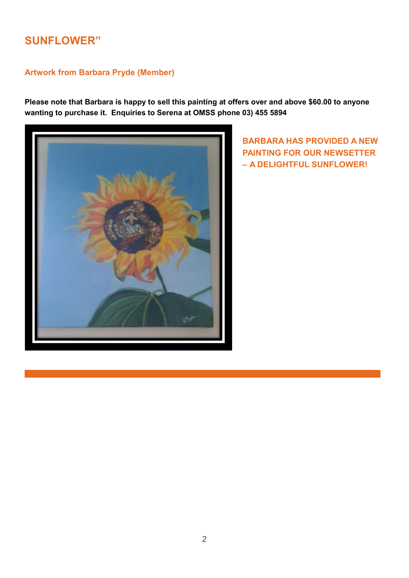#### **SUNFLOWER"**

#### **Artwork from Barbara Pryde (Member)**

**Please note that Barbara is happy to sell this painting at offers over and above \$60.00 to anyone wanting to purchase it. Enquiries to Serena at OMSS phone 03) 455 5894**



**BARBARA HAS PROVIDED A NEW PAINTING FOR OUR NEWSETTER – A DELIGHTFUL SUNFLOWER!**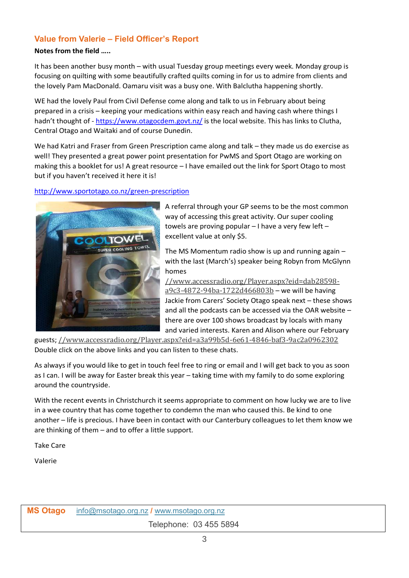#### **Value from Valerie – Field Officer's Report**

#### **Notes from the field …..**

It has been another busy month – with usual Tuesday group meetings every week. Monday group is focusing on quilting with some beautifully crafted quilts coming in for us to admire from clients and the lovely Pam MacDonald. Oamaru visit was a busy one. With Balclutha happening shortly.

WE had the lovely Paul from Civil Defense come along and talk to us in February about being prepared in a crisis – keeping your medications within easy reach and having cash where things I hadn't thought of - https://www.otagocdem.govt.nz/ is the local website. This has links to Clutha, Central Otago and Waitaki and of course Dunedin.

We had Katri and Fraser from Green Prescription came along and talk – they made us do exercise as well! They presented a great power point presentation for PwMS and Sport Otago are working on making this a booklet for us! A great resource – I have emailed out the link for Sport Otago to most but if you haven't received it here it is!

#### http://www.sportotago.co.nz/green-prescription



A referral through your GP seems to be the most common way of accessing this great activity. Our super cooling towels are proving popular  $-1$  have a very few left  $$ excellent value at only \$5.

The MS Momentum radio show is up and running again – with the last (March's) speaker being Robyn from McGlynn homes

//www.accessradio.org/Player.aspx?eid=dab28598 a9c3-4872-94ba-1722d466803b – we will be having Jackie from Carers' Society Otago speak next – these shows and all the podcasts can be accessed via the OAR website – there are over 100 shows broadcast by locals with many and varied interests. Karen and Alison where our February

guests; //www.accessradio.org/Player.aspx?eid=a3a99b5d-6e61-4846-baf3-9ac2a0962302 Double click on the above links and you can listen to these chats.

As always if you would like to get in touch feel free to ring or email and I will get back to you as soon as I can. I will be away for Easter break this year – taking time with my family to do some exploring around the countryside.

With the recent events in Christchurch it seems appropriate to comment on how lucky we are to live in a wee country that has come together to condemn the man who caused this. Be kind to one another – life is precious. I have been in contact with our Canterbury colleagues to let them know we are thinking of them – and to offer a little support.

Take Care

Valerie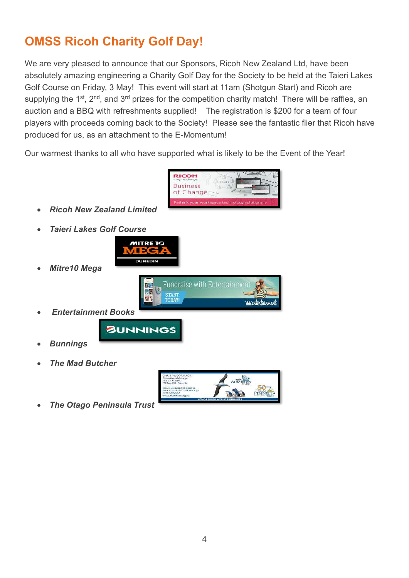### **OMSS Ricoh Charity Golf Day!**

We are very pleased to announce that our Sponsors, Ricoh New Zealand Ltd, have been absolutely amazing engineering a Charity Golf Day for the Society to be held at the Taieri Lakes Golf Course on Friday, 3 May! This event will start at 11am (Shotgun Start) and Ricoh are supplying the 1<sup>st</sup>, 2<sup>nd</sup>, and 3<sup>rd</sup> prizes for the competition charity match! There will be raffles, an auction and a BBQ with refreshments supplied! The registration is \$200 for a team of four players with proceeds coming back to the Society! Please see the fantastic flier that Ricoh have produced for us, as an attachment to the E-Momentum!

Our warmest thanks to all who have supported what is likely to be the Event of the Year!



- *Ricoh New Zealand Limited*
- *Taieri Lakes Golf Course*



原因

**START** 

- *Mitre10 Mega*
- *Entertainment Books*



- *Bunnings*
- *The Mad Butcher*



www.tontainmou

**Fundraise with Entertainment** 

• *The Otago Peninsula Trust*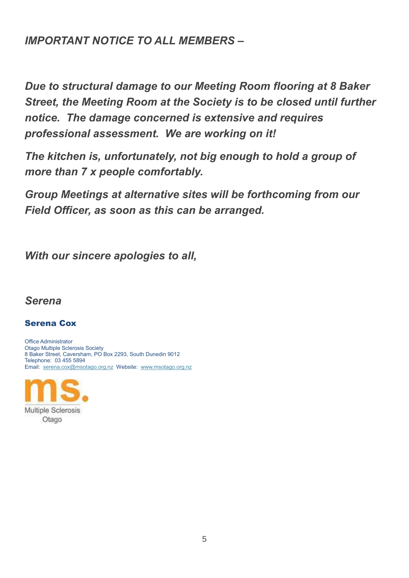#### *IMPORTANT NOTICE TO ALL MEMBERS –*

*Due to structural damage to our Meeting Room flooring at 8 Baker Street, the Meeting Room at the Society is to be closed until further notice. The damage concerned is extensive and requires professional assessment. We are working on it!*

*The kitchen is, unfortunately, not big enough to hold a group of more than 7 x people comfortably.*

*Group Meetings at alternative sites will be forthcoming from our Field Officer, as soon as this can be arranged.*

*With our sincere apologies to all,*

#### *Serena*

#### Serena Cox

Office Administrator Otago Multiple Sclerosis Society 8 Baker Street, Caversham, PO Box 2293, South Dunedin 9012 Telephone: 03 455 5894 Email: [serena.cox@msotago.org.nz](mailto:serena.cox@msotago.org.nz) Website: [www.msotago.org.nz](http://www.msotago.org.nz/)

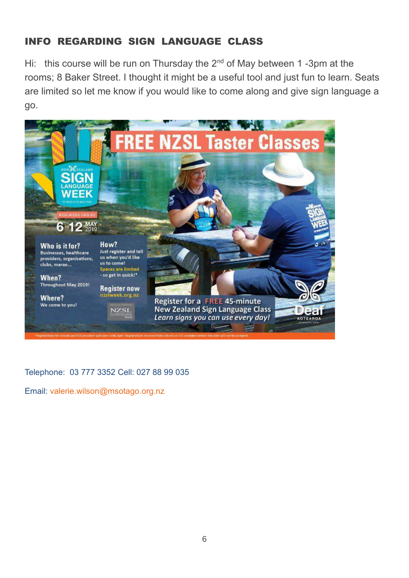#### INFO REGARDING SIGN LANGUAGE CLASS

Hi: this course will be run on Thursday the 2<sup>nd</sup> of May between 1 -3pm at the rooms; 8 Baker Street. I thought it might be a useful tool and just fun to learn. Seats are limited so let me know if you would like to come along and give sign language a go.



Telephone: 03 777 3352 Cell: 027 88 99 035

Email: valerie.wilson@msotago.org.nz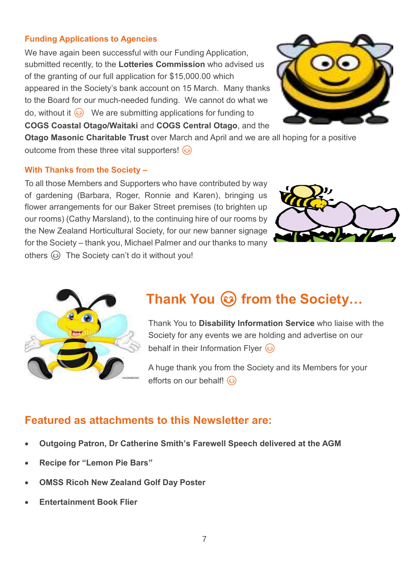#### **Funding Applications to Agencies**

We have again been successful with our Funding Application, submitted recently, to the **Lotteries Commission** who advised us of the granting of our full application for \$15,000.00 which appeared in the Society's bank account on 15 March. Many thanks to the Board for our much-needed funding. We cannot do what we do, without it  $\odot$  We are submitting applications for funding to **COGS Coastal Otago/Waitaki** and **COGS Central Otago**, and the



**Otago Masonic Charitable Trust** over March and April and we are all hoping for a positive outcome from these three vital supporters!  $\circled{e}$ 

#### **With Thanks from the Society –**

To all those Members and Supporters who have contributed by way of gardening (Barbara, Roger, Ronnie and Karen), bringing us flower arrangements for our Baker Street premises (to brighten up our rooms) (Cathy Marsland), to the continuing hire of our rooms by the New Zealand Horticultural Society, for our new banner signage for the Society – thank you, Michael Palmer and our thanks to many others  $\circled{e}$  The Society can't do it without you!





## **Thank You @ from the Society...**

Thank You to **Disability Information Service** who liaise with the Society for any events we are holding and advertise on our behalf in their Information Flver  $\odot$ 

A huge thank you from the Society and its Members for your efforts on our behalf!  $\circled{e}$ 

#### **Featured as attachments to this Newsletter are:**

- **Outgoing Patron, Dr Catherine Smith's Farewell Speech delivered at the AGM**
- **Recipe for "Lemon Pie Bars"**
- **OMSS Ricoh New Zealand Golf Day Poster**
- **Entertainment Book Flier**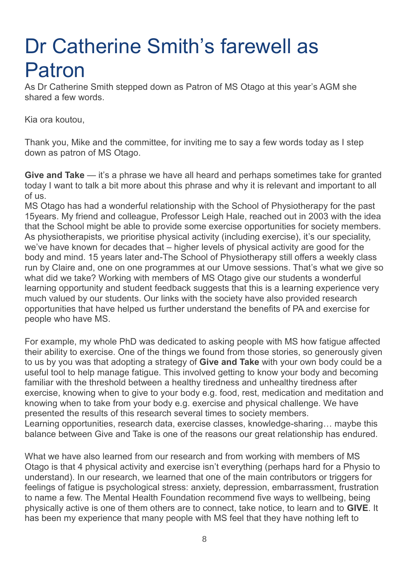## Dr Catherine Smith's farewell as Patron

As Dr Catherine Smith stepped down as Patron of MS Otago at this year's AGM she shared a few words.

Kia ora koutou,

Thank you, Mike and the committee, for inviting me to say a few words today as I step down as patron of MS Otago.

**Give and Take** — it's a phrase we have all heard and perhaps sometimes take for granted today I want to talk a bit more about this phrase and why it is relevant and important to all of us.

MS Otago has had a wonderful relationship with the School of Physiotherapy for the past 15years. My friend and colleague, Professor Leigh Hale, reached out in 2003 with the idea that the School might be able to provide some exercise opportunities for society members. As physiotherapists, we prioritise physical activity (including exercise), it's our speciality, we've have known for decades that – higher levels of physical activity are good for the body and mind. 15 years later and-The School of Physiotherapy still offers a weekly class run by Claire and, one on one programmes at our Umove sessions. That's what we give so what did we take? Working with members of MS Otago give our students a wonderful learning opportunity and student feedback suggests that this is a learning experience very much valued by our students. Our links with the society have also provided research opportunities that have helped us further understand the benefits of PA and exercise for people who have MS.

For example, my whole PhD was dedicated to asking people with MS how fatigue affected their ability to exercise. One of the things we found from those stories, so generously given to us by you was that adopting a strategy of **Give and Take** with your own body could be a useful tool to help manage fatigue. This involved getting to know your body and becoming familiar with the threshold between a healthy tiredness and unhealthy tiredness after exercise, knowing when to give to your body e.g. food, rest, medication and meditation and knowing when to take from your body e.g. exercise and physical challenge. We have presented the results of this research several times to society members. Learning opportunities, research data, exercise classes, knowledge-sharing… maybe this balance between Give and Take is one of the reasons our great relationship has endured.

What we have also learned from our research and from working with members of MS Otago is that 4 physical activity and exercise isn't everything (perhaps hard for a Physio to understand). In our research, we learned that one of the main contributors or triggers for feelings of fatigue is psychological stress: anxiety, depression, embarrassment, frustration to name a few. The Mental Health Foundation recommend five ways to wellbeing, being physically active is one of them others are to connect, take notice, to learn and to **GIVE**. It has been my experience that many people with MS feel that they have nothing left to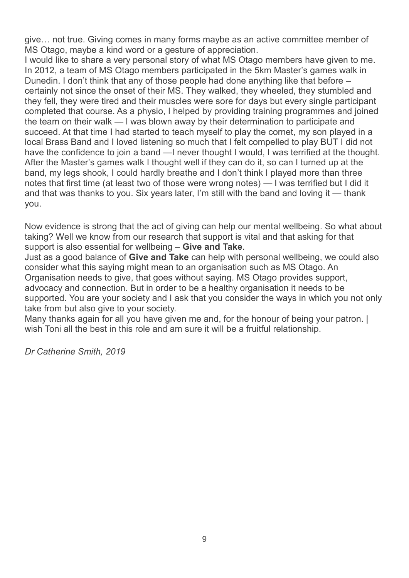give… not true. Giving comes in many forms maybe as an active committee member of MS Otago, maybe a kind word or a gesture of appreciation.

I would like to share a very personal story of what MS Otago members have given to me. In 2012, a team of MS Otago members participated in the 5km Master's games walk in Dunedin. I don't think that any of those people had done anything like that before – certainly not since the onset of their MS. They walked, they wheeled, they stumbled and they fell, they were tired and their muscles were sore for days but every single participant completed that course. As a physio, I helped by providing training programmes and joined the team on their walk — l was blown away by their determination to participate and succeed. At that time I had started to teach myself to play the cornet, my son played in a local Brass Band and I loved listening so much that I felt compelled to play BUT I did not have the confidence to join a band —I never thought I would, I was terrified at the thought. After the Master's games walk I thought well if they can do it, so can I turned up at the band, my legs shook, I could hardly breathe and I don't think I played more than three notes that first time (at least two of those were wrong notes) — l was terrified but I did it and that was thanks to you. Six years later, I'm still with the band and loving it — thank you.

Now evidence is strong that the act of giving can help our mental wellbeing. So what about taking? Well we know from our research that support is vital and that asking for that support is also essential for wellbeing – **Give and Take**.

Just as a good balance of **Give and Take** can help with personal wellbeing, we could also consider what this saying might mean to an organisation such as MS Otago. An Organisation needs to give, that goes without saying. MS Otago provides support, advocacy and connection. But in order to be a healthy organisation it needs to be supported. You are your society and I ask that you consider the ways in which you not only take from but also give to your society.

Many thanks again for all you have given me and, for the honour of being your patron. | wish Toni all the best in this role and am sure it will be a fruitful relationship.

*Dr Catherine Smith, 2019*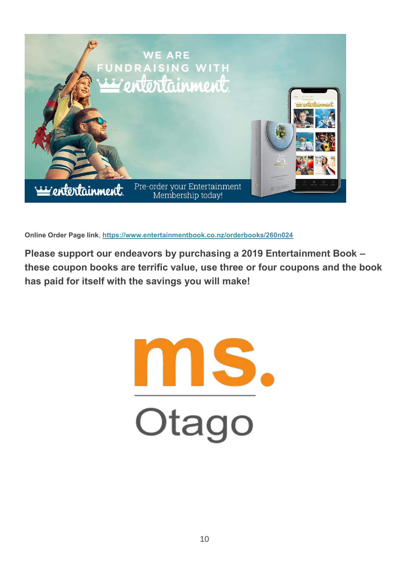

**Online Order Page link**, **<https://www.entertainmentbook.co.nz/orderbooks/260n024>**

**Please support our endeavors by purchasing a 2019 Entertainment Book – these coupon books are terrific value, use three or four coupons and the book has paid for itself with the savings you will make!**

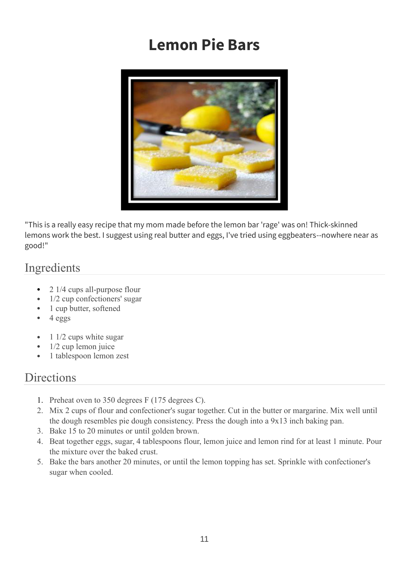## **Lemon Pie Bars**



"This is a really easy recipe that my mom made before the lemon bar 'rage' was on! Thick-skinned lemons work the best. I suggest using real butter and eggs, I've tried using eggbeaters--nowhere near as good!"

#### Ingredients

- 2 1/4 cups all-purpose flour
- 1/2 cup confectioners' sugar
- 1 cup butter, softened
- 4 eggs
- 1 1/2 cups white sugar
- 1/2 cup lemon juice
- 1 tablespoon lemon zest

#### **Directions**

- 1. Preheat oven to 350 degrees F (175 degrees C).
- 2. Mix 2 cups of flour and confectioner's sugar together. Cut in the butter or margarine. Mix well until the dough resembles pie dough consistency. Press the dough into a 9x13 inch baking pan.
- 3. Bake 15 to 20 minutes or until golden brown.
- 4. Beat together eggs, sugar, 4 tablespoons flour, lemon juice and lemon rind for at least 1 minute. Pour the mixture over the baked crust.
- 5. Bake the bars another 20 minutes, or until the lemon topping has set. Sprinkle with confectioner's sugar when cooled.